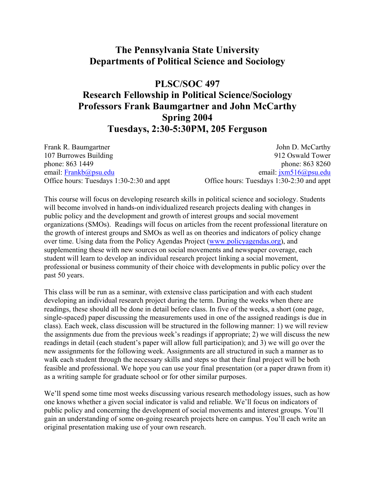## **The Pennsylvania State University Departments of Political Science and Sociology**

## **PLSC/SOC 497**

# **Research Fellowship in Political Science/Sociology Professors Frank Baumgartner and John McCarthy Spring 2004 Tuesdays, 2:30-5:30PM, 205 Ferguson**

107 Burrowes Building 912 Oswald Tower phone: 863 1449 phone: 863 8260 email: [Frankb@psu.edu](mailto:Frankb@psu.edu) email: [jxm516@psu.edu](mailto:jxm516@psu.edu) Office hours: Tuesdays 1:30-2:30 and appt Office hours: Tuesdays 1:30-2:30 and appt

Frank R. Baumgartner John D. McCarthy

This course will focus on developing research skills in political science and sociology. Students will become involved in hands-on individualized research projects dealing with changes in public policy and the development and growth of interest groups and social movement organizations (SMOs). Readings will focus on articles from the recent professional literature on the growth of interest groups and SMOs as well as on theories and indicators of policy change over time. Using data from the Policy Agendas Project [\(www.policyagendas.org\)](http://www.policyagendas.org/), and supplementing these with new sources on social movements and newspaper coverage, each student will learn to develop an individual research project linking a social movement, professional or business community of their choice with developments in public policy over the past 50 years.

This class will be run as a seminar, with extensive class participation and with each student developing an individual research project during the term. During the weeks when there are readings, these should all be done in detail before class. In five of the weeks, a short (one page, single-spaced) paper discussing the measurements used in one of the assigned readings is due in class). Each week, class discussion will be structured in the following manner: 1) we will review the assignments due from the previous week's readings if appropriate; 2) we will discuss the new readings in detail (each student's paper will allow full participation); and 3) we will go over the new assignments for the following week. Assignments are all structured in such a manner as to walk each student through the necessary skills and steps so that their final project will be both feasible and professional. We hope you can use your final presentation (or a paper drawn from it) as a writing sample for graduate school or for other similar purposes.

We'll spend some time most weeks discussing various research methodology issues, such as how one knows whether a given social indicator is valid and reliable. We'll focus on indicators of public policy and concerning the development of social movements and interest groups. You'll gain an understanding of some on-going research projects here on campus. You'll each write an original presentation making use of your own research.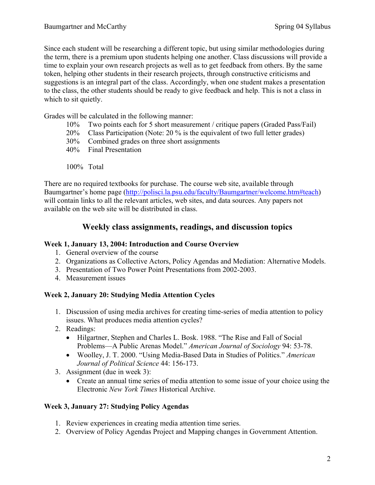Since each student will be researching a different topic, but using similar methodologies during the term, there is a premium upon students helping one another. Class discussions will provide a time to explain your own research projects as well as to get feedback from others. By the same token, helping other students in their research projects, through constructive criticisms and suggestions is an integral part of the class. Accordingly, when one student makes a presentation to the class, the other students should be ready to give feedback and help. This is not a class in which to sit quietly.

Grades will be calculated in the following manner:

- 10% Two points each for 5 short measurement / critique papers (Graded Pass/Fail)
- 20% Class Participation (Note: 20 % is the equivalent of two full letter grades)
- 30% Combined grades on three short assignments
- 40% Final Presentation
- 100% Total

There are no required textbooks for purchase. The course web site, available through Baumgartner's home page ([http://polisci.la.psu.edu/faculty/Baumgartner/welcome.htm#teach](http://polisci.la.psu.edu/faculty/Baumgartner/welcome.htm)) will contain links to all the relevant articles, web sites, and data sources. Any papers not available on the web site will be distributed in class.

### **Weekly class assignments, readings, and discussion topics**

### **Week 1, January 13, 2004: Introduction and Course Overview**

- 1. General overview of the course
- 2. Organizations as Collective Actors, Policy Agendas and Mediation: Alternative Models.
- 3. Presentation of Two Power Point Presentations from 2002-2003.
- 4. Measurement issues

### **Week 2, January 20: Studying Media Attention Cycles**

- 1. Discussion of using media archives for creating time-series of media attention to policy issues. What produces media attention cycles?
- 2. Readings:
	- Hilgartner, Stephen and Charles L. Bosk. 1988. "The Rise and Fall of Social Problems—A Public Arenas Model." *American Journal of Sociology* 94: 53-78.
	- Woolley, J. T. 2000. "Using Media-Based Data in Studies of Politics." *American Journal of Political Science* 44: 156-173.
- 3. Assignment (due in week 3):
	- Create an annual time series of media attention to some issue of your choice using the Electronic *New York Times* Historical Archive.

### **Week 3, January 27: Studying Policy Agendas**

- 1. Review experiences in creating media attention time series.
- 2. Overview of Policy Agendas Project and Mapping changes in Government Attention.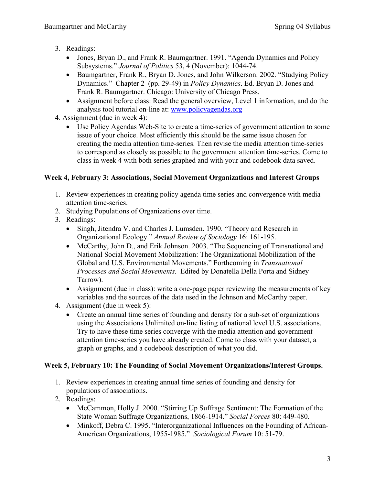- 3. Readings:
	- Jones, Bryan D., and Frank R. Baumgartner. 1991. "Agenda Dynamics and Policy Subsystems." *Journal of Politics* 53, 4 (November): 1044-74.
	- Baumgartner, Frank R., Bryan D. Jones, and John Wilkerson. 2002. "Studying Policy Dynamics." Chapter 2 (pp. 29-49) in *Policy Dynamics*. Ed. Bryan D. Jones and Frank R. Baumgartner. Chicago: University of Chicago Press.
	- Assignment before class: Read the general overview, Level 1 information, and do the analysis tool tutorial on-line at: [www.policyagendas.org](http://www.policyagendas.org/)
- 4. Assignment (due in week 4):
	- Use Policy Agendas Web-Site to create a time-series of government attention to some issue of your choice. Most efficiently this should be the same issue chosen for creating the media attention time-series. Then revise the media attention time-series to correspond as closely as possible to the government attention time-series. Come to class in week 4 with both series graphed and with your and codebook data saved.

### **Week 4, February 3: Associations, Social Movement Organizations and Interest Groups**

- 1. Review experiences in creating policy agenda time series and convergence with media attention time-series.
- 2. Studying Populations of Organizations over time.
- 3. Readings:
	- Singh, Jitendra V. and Charles J. Lumsden. 1990. "Theory and Research in Organizational Ecology." *Annual Review of Sociology* 16: 161-195.
	- McCarthy, John D., and Erik Johnson. 2003. "The Sequencing of Transnational and National Social Movement Mobilization: The Organizational Mobilization of the Global and U.S. Environmental Movements." Forthcoming in *Transnational Processes and Social Movements.* Edited by Donatella Della Porta and Sidney Tarrow).
	- Assignment (due in class): write a one-page paper reviewing the measurements of key variables and the sources of the data used in the Johnson and McCarthy paper.
- 4. Assignment (due in week 5):
	- Create an annual time series of founding and density for a sub-set of organizations using the Associations Unlimited on-line listing of national level U.S. associations. Try to have these time series converge with the media attention and government attention time-series you have already created. Come to class with your dataset, a graph or graphs, and a codebook description of what you did.

### **Week 5, February 10: The Founding of Social Movement Organizations/Interest Groups.**

- 1. Review experiences in creating annual time series of founding and density for populations of associations.
- 2. Readings:
	- McCammon, Holly J. 2000. "Stirring Up Suffrage Sentiment: The Formation of the State Woman Suffrage Organizations, 1866-1914." *Social Forces* 80: 449-480.
	- Minkoff, Debra C. 1995. "Interorganizational Influences on the Founding of African-American Organizations, 1955-1985." *Sociological Forum* 10: 51-79.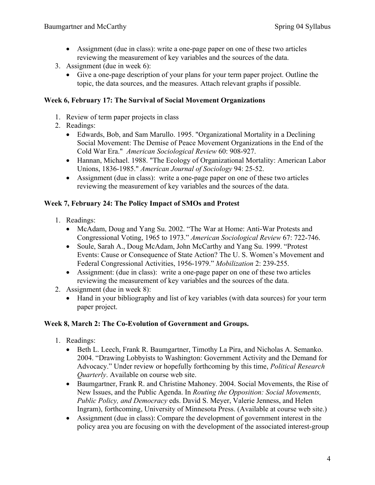- Assignment (due in class): write a one-page paper on one of these two articles reviewing the measurement of key variables and the sources of the data.
- 3. Assignment (due in week 6):
	- Give a one-page description of your plans for your term paper project. Outline the topic, the data sources, and the measures. Attach relevant graphs if possible.

### **Week 6, February 17: The Survival of Social Movement Organizations**

- 1. Review of term paper projects in class
- 2. Readings:
	- Edwards, Bob, and Sam Marullo. 1995. "Organizational Mortality in a Declining Social Movement: The Demise of Peace Movement Organizations in the End of the Cold War Era." *American Sociological Review* 60: 908-927.
	- Hannan, Michael. 1988. "The Ecology of Organizational Mortality: American Labor Unions, 1836-1985." *American Journal of Sociology* 94: 25-52.
	- Assignment (due in class): write a one-page paper on one of these two articles reviewing the measurement of key variables and the sources of the data.

#### **Week 7, February 24: The Policy Impact of SMOs and Protest**

- 1. Readings:
	- McAdam, Doug and Yang Su. 2002. "The War at Home: Anti-War Protests and Congressional Voting, 1965 to 1973." *American Sociological Review* 67: 722-746.
	- Soule, Sarah A., Doug McAdam, John McCarthy and Yang Su. 1999. "Protest" Events: Cause or Consequence of State Action? The U. S. Women's Movement and Federal Congressional Activities, 1956-1979." *Mobilization* 2: 239-255.
	- Assignment: (due in class): write a one-page paper on one of these two articles reviewing the measurement of key variables and the sources of the data.
- 2. Assignment (due in week 8):
	- Hand in your bibliography and list of key variables (with data sources) for your term paper project.

#### **Week 8, March 2: The Co-Evolution of Government and Groups.**

- 1. Readings:
	- Beth L. Leech, Frank R. Baumgartner, Timothy La Pira, and Nicholas A. Semanko. 2004. "Drawing Lobbyists to Washington: Government Activity and the Demand for Advocacy." Under review or hopefully forthcoming by this time, *Political Research Quarterly*. Available on course web site.
	- Baumgartner, Frank R. and Christine Mahoney. 2004. Social Movements, the Rise of New Issues, and the Public Agenda. In *Routing the Opposition: Social Movements, Public Policy, and Democracy* eds. David S. Meyer, Valerie Jenness, and Helen Ingram), forthcoming, University of Minnesota Press. (Available at course web site.)
	- Assignment (due in class): Compare the development of government interest in the policy area you are focusing on with the development of the associated interest-group